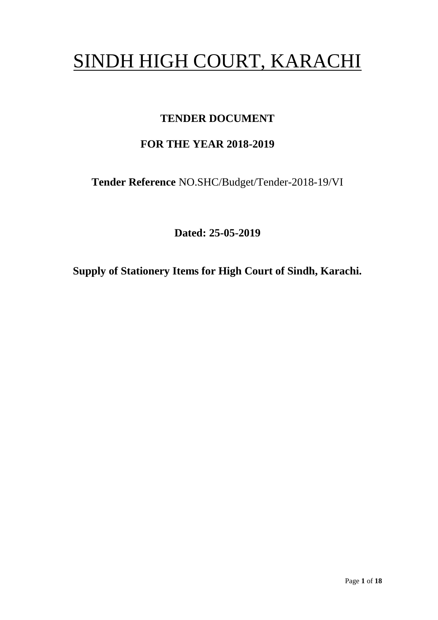# SINDH HIGH COURT, KARACHI

## **TENDER DOCUMENT**

# **FOR THE YEAR 2018-2019**

**Tender Reference** NO.SHC/Budget/Tender-2018-19/VI

**Dated: 25-05-2019**

**Supply of Stationery Items for High Court of Sindh, Karachi.**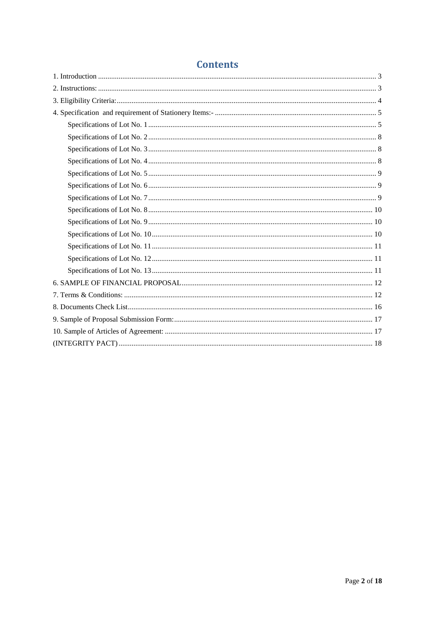## **Contents**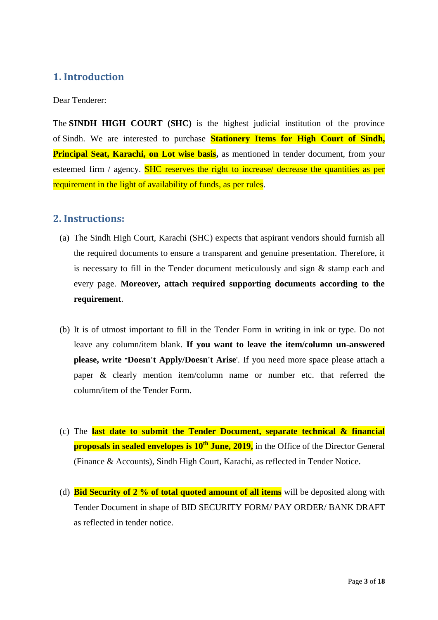### <span id="page-2-0"></span>**1. Introduction**

Dear Tenderer:

The **SINDH HIGH COURT (SHC)** is the highest judicial institution of the province of [Sindh.](https://en.wikipedia.org/wiki/Sindh) We are interested to purchase **Stationery Items for High Court of Sindh, Principal Seat, Karachi, on Lot wise basis,** as mentioned in tender document, from your esteemed firm / agency. SHC reserves the right to increase/ decrease the quantities as per requirement in the light of availability of funds, as per rules.

#### <span id="page-2-1"></span>**2. Instructions:**

- (a) The Sindh High Court, Karachi (SHC) expects that aspirant vendors should furnish all the required documents to ensure a transparent and genuine presentation. Therefore, it is necessary to fill in the Tender document meticulously and sign & stamp each and every page. **Moreover, attach required supporting documents according to the requirement**.
- (b) It is of utmost important to fill in the Tender Form in writing in ink or type. Do not leave any column/item blank. **If you want to leave the item/column un-answered please, write "Doesn't Apply/Doesn't Arise**'. If you need more space please attach a paper & clearly mention item/column name or number etc. that referred the column/item of the Tender Form.
- (c) The **last date to submit the Tender Document, separate technical & financial proposals in sealed envelopes is 10<sup>th</sup> June, 2019,** in the Office of the Director General (Finance & Accounts), Sindh High Court, Karachi, as reflected in Tender Notice.
- (d) **Bid Security of 2 % of total quoted amount of all items** will be deposited along with Tender Document in shape of BID SECURITY FORM/ PAY ORDER/ BANK DRAFT as reflected in tender notice.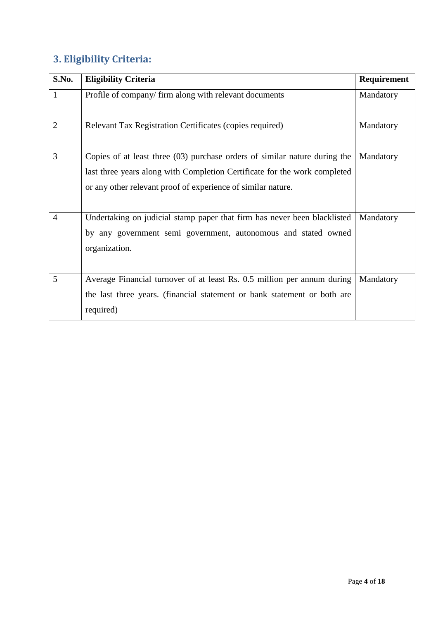# <span id="page-3-0"></span>**3. Eligibility Criteria:**

| S.No.          | <b>Eligibility Criteria</b>                                                                                                                                                                                             | Requirement |
|----------------|-------------------------------------------------------------------------------------------------------------------------------------------------------------------------------------------------------------------------|-------------|
| $\mathbf{1}$   | Profile of company/firm along with relevant documents                                                                                                                                                                   | Mandatory   |
| $\overline{2}$ | Relevant Tax Registration Certificates (copies required)                                                                                                                                                                | Mandatory   |
| 3              | Copies of at least three (03) purchase orders of similar nature during the<br>last three years along with Completion Certificate for the work completed<br>or any other relevant proof of experience of similar nature. | Mandatory   |
| $\overline{4}$ | Undertaking on judicial stamp paper that firm has never been blacklisted<br>by any government semi government, autonomous and stated owned<br>organization.                                                             | Mandatory   |
| 5              | Average Financial turnover of at least Rs. 0.5 million per annum during<br>the last three years. (financial statement or bank statement or both are<br>required)                                                        | Mandatory   |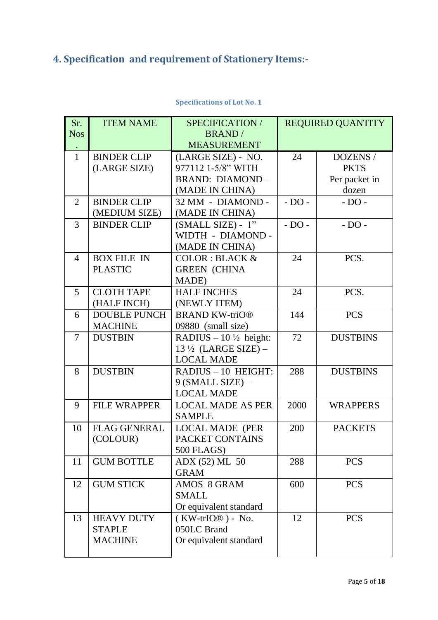# <span id="page-4-0"></span>**4. Specification and requirement of Stationery Items:-**

<span id="page-4-1"></span>

| Sr.            | <b>ITEM NAME</b>                   | SPECIFICATION /                                                   | <b>REQUIRED QUANTITY</b> |                 |  |
|----------------|------------------------------------|-------------------------------------------------------------------|--------------------------|-----------------|--|
| <b>Nos</b>     |                                    | <b>BRAND</b> /                                                    |                          |                 |  |
|                |                                    | <b>MEASUREMENT</b>                                                |                          |                 |  |
| $\mathbf{1}$   | <b>BINDER CLIP</b>                 | (LARGE SIZE) - NO.                                                | 24                       | DOZENS /        |  |
|                | (LARGE SIZE)                       | 977112 1-5/8" WITH                                                |                          | <b>PKTS</b>     |  |
|                |                                    | <b>BRAND: DIAMOND-</b>                                            |                          | Per packet in   |  |
|                |                                    | (MADE IN CHINA)                                                   |                          | dozen           |  |
| 2              | <b>BINDER CLIP</b>                 | 32 MM - DIAMOND -                                                 | $-DO -$                  | $-DO -$         |  |
|                | (MEDIUM SIZE)                      | (MADE IN CHINA)                                                   |                          |                 |  |
| 3              | <b>BINDER CLIP</b>                 | $(SMALL SIZE) - 1"$                                               | $- DO -$                 | $- DO -$        |  |
|                |                                    | WIDTH - DIAMOND -                                                 |                          |                 |  |
|                |                                    | (MADE IN CHINA)                                                   |                          |                 |  |
| $\overline{4}$ | <b>BOX FILE IN</b>                 | <b>COLOR: BLACK &amp;</b>                                         | 24                       | PCS.            |  |
|                | <b>PLASTIC</b>                     | <b>GREEN (CHINA</b>                                               |                          |                 |  |
|                |                                    | MADE)                                                             |                          |                 |  |
| 5              | <b>CLOTH TAPE</b>                  | <b>HALF INCHES</b>                                                | 24                       | PCS.            |  |
| 6              | (HALF INCH)<br><b>DOUBLE PUNCH</b> | (NEWLY ITEM)<br><b>BRAND KW-triO®</b>                             | 144                      | <b>PCS</b>      |  |
|                | <b>MACHINE</b>                     | 09880 (small size)                                                |                          |                 |  |
| 7              | <b>DUSTBIN</b>                     |                                                                   | 72                       | <b>DUSTBINS</b> |  |
|                |                                    | RADIUS $-10\frac{1}{2}$ height:<br>$13\frac{1}{2}$ (LARGE SIZE) – |                          |                 |  |
|                |                                    | <b>LOCAL MADE</b>                                                 |                          |                 |  |
| 8              | <b>DUSTBIN</b>                     | RADIUS - 10 HEIGHT:                                               | 288                      | <b>DUSTBINS</b> |  |
|                |                                    | 9 (SMALL SIZE) -                                                  |                          |                 |  |
|                |                                    | <b>LOCAL MADE</b>                                                 |                          |                 |  |
| 9              | <b>FILE WRAPPER</b>                | <b>LOCAL MADE AS PER</b>                                          | 2000                     | <b>WRAPPERS</b> |  |
|                |                                    | <b>SAMPLE</b>                                                     |                          |                 |  |
| 10             | <b>FLAG GENERAL</b>                | <b>LOCAL MADE (PER</b>                                            | 200                      | <b>PACKETS</b>  |  |
|                | (COLOUR)                           | PACKET CONTAINS                                                   |                          |                 |  |
|                |                                    | 500 FLAGS)                                                        |                          |                 |  |
| 11             | <b>GUM BOTTLE</b>                  | ADX (52) ML 50                                                    | 288                      | <b>PCS</b>      |  |
|                |                                    | <b>GRAM</b>                                                       |                          |                 |  |
| 12             | <b>GUM STICK</b>                   | AMOS 8 GRAM                                                       | 600                      | <b>PCS</b>      |  |
|                |                                    | <b>SMALL</b>                                                      |                          |                 |  |
|                |                                    | Or equivalent standard                                            |                          |                 |  |
| 13             | <b>HEAVY DUTY</b>                  | $(KW-trIO@) - No.$                                                | 12                       | <b>PCS</b>      |  |
|                | <b>STAPLE</b>                      | 050LC Brand                                                       |                          |                 |  |
|                | <b>MACHINE</b>                     | Or equivalent standard                                            |                          |                 |  |
|                |                                    |                                                                   |                          |                 |  |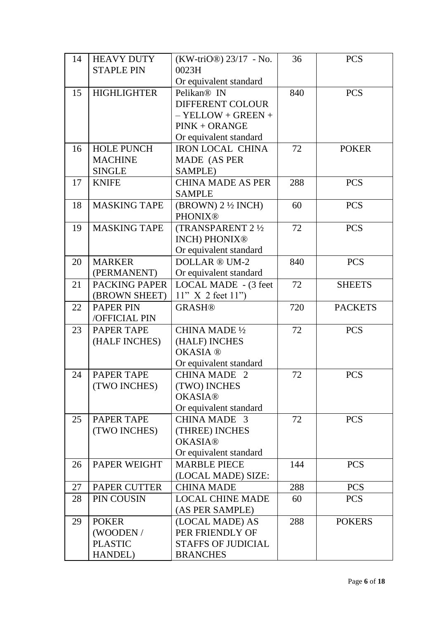| 14 | <b>HEAVY DUTY</b>    | $(KW-triO\mathbb{D})$ 23/17 - No. | 36  | <b>PCS</b>     |
|----|----------------------|-----------------------------------|-----|----------------|
|    | <b>STAPLE PIN</b>    | 0023H                             |     |                |
|    |                      | Or equivalent standard            |     |                |
| 15 | <b>HIGHLIGHTER</b>   | Pelikan <sup>®</sup> IN           | 840 | <b>PCS</b>     |
|    |                      | <b>DIFFERENT COLOUR</b>           |     |                |
|    |                      | $-$ YELLOW + GREEN +              |     |                |
|    |                      | $PINK + ORANGE$                   |     |                |
|    |                      | Or equivalent standard            |     |                |
| 16 | <b>HOLE PUNCH</b>    | <b>IRON LOCAL CHINA</b>           | 72  | <b>POKER</b>   |
|    | <b>MACHINE</b>       | MADE (AS PER                      |     |                |
|    | <b>SINGLE</b>        | SAMPLE)                           |     |                |
| 17 | <b>KNIFE</b>         | <b>CHINA MADE AS PER</b>          | 288 | <b>PCS</b>     |
|    |                      | <b>SAMPLE</b>                     |     |                |
| 18 | <b>MASKING TAPE</b>  | $(BROWN)$ 2 $\frac{1}{2}$ INCH)   | 60  | <b>PCS</b>     |
|    |                      | <b>PHONIX®</b>                    |     |                |
| 19 | <b>MASKING TAPE</b>  | <b>(TRANSPARENT 2 1/2)</b>        | 72  | <b>PCS</b>     |
|    |                      | <b>INCH) PHONIX®</b>              |     |                |
|    |                      | Or equivalent standard            |     |                |
| 20 | <b>MARKER</b>        | DOLLAR ® UM-2                     | 840 | <b>PCS</b>     |
|    | (PERMANENT)          | Or equivalent standard            |     |                |
| 21 | <b>PACKING PAPER</b> | LOCAL MADE - (3 feet              | 72  | <b>SHEETS</b>  |
|    | (BROWN SHEET)        | 11" X 2 feet 11"                  |     |                |
| 22 | <b>PAPER PIN</b>     | <b>GRASH®</b>                     | 720 | <b>PACKETS</b> |
|    | /OFFICIAL PIN        |                                   |     |                |
| 23 | <b>PAPER TAPE</b>    | CHINA MADE 1/2                    | 72  | <b>PCS</b>     |
|    | (HALF INCHES)        | (HALF) INCHES                     |     |                |
|    |                      | <b>OKASIA®</b>                    |     |                |
|    |                      | Or equivalent standard            |     |                |
| 24 | <b>PAPER TAPE</b>    | <b>CHINA MADE 2</b>               | 72  | <b>PCS</b>     |
|    | (TWO INCHES)         | (TWO) INCHES                      |     |                |
|    |                      | <b>OKASIA®</b>                    |     |                |
|    |                      | Or equivalent standard            |     |                |
| 25 | <b>PAPER TAPE</b>    | CHINA MADE 3                      | 72  | <b>PCS</b>     |
|    | (TWO INCHES)         | (THREE) INCHES                    |     |                |
|    |                      | <b>OKASIA®</b>                    |     |                |
|    |                      | Or equivalent standard            |     |                |
| 26 | <b>PAPER WEIGHT</b>  | <b>MARBLE PIECE</b>               | 144 | <b>PCS</b>     |
|    |                      | (LOCAL MADE) SIZE:                |     |                |
| 27 | PAPER CUTTER         | <b>CHINA MADE</b>                 | 288 | <b>PCS</b>     |
| 28 | PIN COUSIN           | <b>LOCAL CHINE MADE</b>           | 60  | <b>PCS</b>     |
|    |                      | (AS PER SAMPLE)                   |     |                |
| 29 | <b>POKER</b>         | (LOCAL MADE) AS                   | 288 | <b>POKERS</b>  |
|    | (WOODEN/             | PER FRIENDLY OF                   |     |                |
|    | <b>PLASTIC</b>       | <b>STAFFS OF JUDICIAL</b>         |     |                |
|    | <b>HANDEL</b> )      | <b>BRANCHES</b>                   |     |                |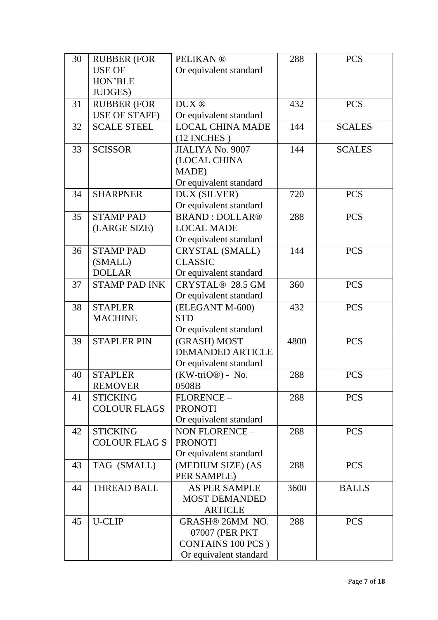| 30 | <b>RUBBER (FOR</b>   | <b>PELIKAN®</b>           | 288  | <b>PCS</b>    |
|----|----------------------|---------------------------|------|---------------|
|    | <b>USE OF</b>        | Or equivalent standard    |      |               |
|    | HON'BLE              |                           |      |               |
|    | <b>JUDGES</b> )      |                           |      |               |
| 31 | <b>RUBBER (FOR</b>   | DUX ®                     | 432  | <b>PCS</b>    |
|    | <b>USE OF STAFF)</b> | Or equivalent standard    |      |               |
| 32 | <b>SCALE STEEL</b>   | <b>LOCAL CHINA MADE</b>   | 144  | <b>SCALES</b> |
|    |                      | $(12$ INCHES)             |      |               |
| 33 | <b>SCISSOR</b>       | <b>JIALIYA No. 9007</b>   | 144  | <b>SCALES</b> |
|    |                      | (LOCAL CHINA              |      |               |
|    |                      | MADE)                     |      |               |
|    |                      | Or equivalent standard    |      |               |
| 34 | <b>SHARPNER</b>      | DUX (SILVER)              | 720  | <b>PCS</b>    |
|    |                      | Or equivalent standard    |      |               |
| 35 | <b>STAMP PAD</b>     | <b>BRAND: DOLLAR®</b>     | 288  | <b>PCS</b>    |
|    | (LARGE SIZE)         | <b>LOCAL MADE</b>         |      |               |
|    |                      | Or equivalent standard    |      |               |
| 36 | <b>STAMP PAD</b>     | <b>CRYSTAL (SMALL)</b>    | 144  | <b>PCS</b>    |
|    | (SMALL)              | <b>CLASSIC</b>            |      |               |
|    | <b>DOLLAR</b>        | Or equivalent standard    |      |               |
| 37 | <b>STAMP PAD INK</b> | CRYSTAL® 28.5 GM          | 360  | <b>PCS</b>    |
|    |                      | Or equivalent standard    |      |               |
| 38 | <b>STAPLER</b>       | (ELEGANT M-600)           | 432  | <b>PCS</b>    |
|    | <b>MACHINE</b>       | <b>STD</b>                |      |               |
|    |                      | Or equivalent standard    |      |               |
| 39 | <b>STAPLER PIN</b>   | (GRASH) MOST              | 4800 | <b>PCS</b>    |
|    |                      | <b>DEMANDED ARTICLE</b>   |      |               |
|    |                      | Or equivalent standard    |      |               |
| 40 | <b>STAPLER</b>       | $(KW-triO@)$ - No.        | 288  | <b>PCS</b>    |
|    | <b>REMOVER</b>       | 0508B                     |      |               |
| 41 | <b>STICKING</b>      | FLORENCE-                 | 288  | <b>PCS</b>    |
|    | <b>COLOUR FLAGS</b>  | <b>PRONOTI</b>            |      |               |
|    |                      | Or equivalent standard    |      |               |
| 42 | <b>STICKING</b>      | NON FLORENCE-             | 288  | <b>PCS</b>    |
|    | <b>COLOUR FLAGS</b>  | <b>PRONOTI</b>            |      |               |
|    |                      | Or equivalent standard    |      |               |
| 43 | TAG (SMALL)          | (MEDIUM SIZE) (AS         | 288  | <b>PCS</b>    |
|    |                      | PER SAMPLE)               |      |               |
| 44 | <b>THREAD BALL</b>   | AS PER SAMPLE             | 3600 | <b>BALLS</b>  |
|    |                      | <b>MOST DEMANDED</b>      |      |               |
|    |                      | <b>ARTICLE</b>            |      |               |
| 45 | <b>U-CLIP</b>        | <b>GRASH® 26MM NO.</b>    | 288  | <b>PCS</b>    |
|    |                      | 07007 (PER PKT)           |      |               |
|    |                      | <b>CONTAINS 100 PCS</b> ) |      |               |
|    |                      | Or equivalent standard    |      |               |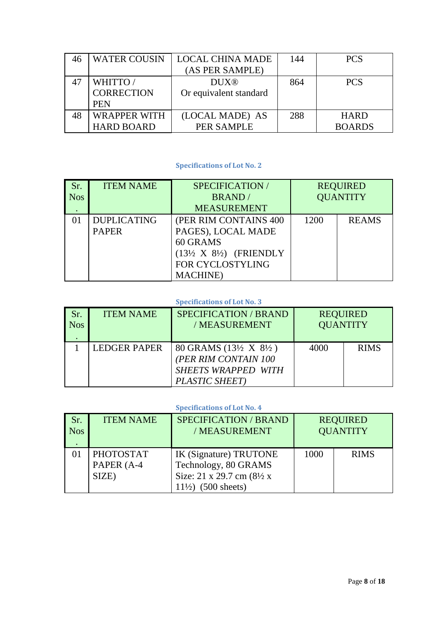| <b>WATER COUSIN</b> | <b>LOCAL CHINA MADE</b> | 144 | <b>PCS</b>    |
|---------------------|-------------------------|-----|---------------|
|                     | (AS PER SAMPLE)         |     |               |
| WHITTO/             | <b>DUX®</b>             | 864 | <b>PCS</b>    |
| <b>CORRECTION</b>   | Or equivalent standard  |     |               |
| <b>PEN</b>          |                         |     |               |
| <b>WRAPPER WITH</b> | (LOCAL MADE) AS         | 288 | <b>HARD</b>   |
| <b>HARD BOARD</b>   | <b>PER SAMPLE</b>       |     | <b>BOARDS</b> |

#### **Specifications of Lot No. 2**

<span id="page-7-0"></span>

| Sr.<br><b>Nos</b> | <b>ITEM NAME</b>                   | SPECIFICATION/<br><b>BRAND</b> /<br><b>MEASUREMENT</b>                                                                                           |      | <b>REQUIRED</b><br><b>QUANTITY</b> |
|-------------------|------------------------------------|--------------------------------------------------------------------------------------------------------------------------------------------------|------|------------------------------------|
|                   | <b>DUPLICATING</b><br><b>PAPER</b> | (PER RIM CONTAINS 400)<br>PAGES), LOCAL MADE<br>60 GRAMS<br>$(13\frac{1}{2}$ X $8\frac{1}{2})$ (FRIENDLY<br>FOR CYCLOSTYLING<br><b>MACHINE</b> ) | 1200 | <b>REAMS</b>                       |

#### **Specifications of Lot No. 3**

<span id="page-7-1"></span>

| Sr.        | <b>ITEM NAME</b>    | <b>SPECIFICATION / BRAND</b>                                                                      | <b>REQUIRED</b> |             |
|------------|---------------------|---------------------------------------------------------------------------------------------------|-----------------|-------------|
| <b>Nos</b> |                     | / MEASUREMENT                                                                                     | <b>QUANTITY</b> |             |
|            | <b>LEDGER PAPER</b> | 80 GRAMS (13½ X 8½)<br>PER RIM CONTAIN 100<br><b>SHEETS WRAPPED WITH</b><br><b>PLASTIC SHEET)</b> | 4000            | <b>RIMS</b> |

<span id="page-7-2"></span>

| Sr.<br>Nos | <b>ITEM NAME</b> | <b>SPECIFICATION / BRAND</b><br>/MEASUREMENT | <b>REQUIRED</b><br><b>QUANTITY</b> |             |
|------------|------------------|----------------------------------------------|------------------------------------|-------------|
|            | <b>PHOTOSTAT</b> | IK (Signature) TRUTONE                       | 1000                               | <b>RIMS</b> |
|            | PAPER (A-4       | Technology, 80 GRAMS                         |                                    |             |
|            | SIZE)            | Size: 21 x 29.7 cm (8½ x                     |                                    |             |
|            |                  | $(500$ sheets)<br>11/2                       |                                    |             |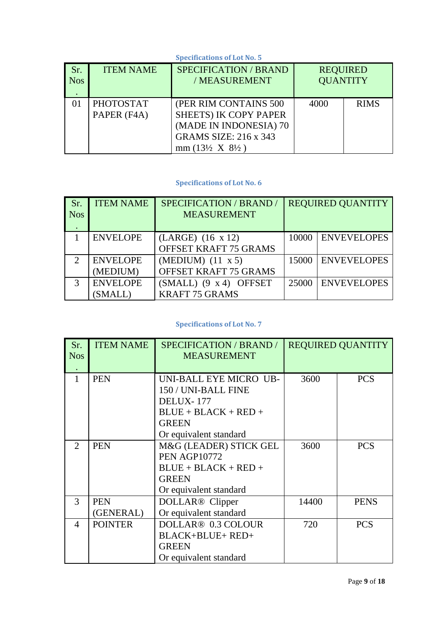#### <span id="page-8-0"></span>**Specifications of Lot No. 5** Sr. Nos . ITEM NAME SPECIFICATION / BRAND / MEASUREMENT REQUIRED **QUANTITY** 01 PHOTOSTAT PAPER (F4A) (PER RIM CONTAINS 500 SHEETS) IK COPY PAPER (MADE IN INDONESIA) 70 GRAMS SIZE: 216 x 343 mm (13½ X 8½ ) 4000 RIMS

#### **Specifications of Lot No. 6**

<span id="page-8-1"></span>

| Sr<br><b>Nos</b>            | <b>ITEM NAME</b> | <b>SPECIFICATION / BRAND /</b><br><b>MEASUREMENT</b> | <b>REQUIRED QUANTITY</b> |                    |
|-----------------------------|------------------|------------------------------------------------------|--------------------------|--------------------|
|                             | <b>ENVELOPE</b>  | (LARGE) (16 x 12)                                    | 10000                    | <b>ENVEVELOPES</b> |
|                             |                  | <b>OFFSET KRAFT 75 GRAMS</b>                         |                          |                    |
| $\mathcal{D}_{\mathcal{L}}$ | <b>ENVELOPE</b>  | $(MEDIUM)$ $(11 \times 5)$                           | 15000                    | <b>ENVEVELOPES</b> |
|                             | (MEDIUM)         | OFFSET KRAFT 75 GRAMS                                |                          |                    |
| 3                           | <b>ENVELOPE</b>  | $(SMALL)$ (9 x 4) OFFSET                             | 25000                    | <b>ENVEVELOPES</b> |
|                             | (SMALL)          | <b>KRAFT 75 GRAMS</b>                                |                          |                    |

<span id="page-8-2"></span>

| Sr.<br><b>Nos</b> | <b>ITEM NAME</b> | <b>SPECIFICATION / BRAND /</b><br><b>MEASUREMENT</b>              | <b>REQUIRED QUANTITY</b> |             |
|-------------------|------------------|-------------------------------------------------------------------|--------------------------|-------------|
| 1                 | <b>PEN</b>       | UNI-BALL EYE MICRO UB-<br>150 / UNI-BALL FINE<br><b>DELUX-177</b> | 3600                     | <b>PCS</b>  |
|                   |                  | $BLUE + BLACK + RED +$                                            |                          |             |
|                   |                  | <b>GREEN</b>                                                      |                          |             |
|                   |                  | Or equivalent standard                                            |                          |             |
| 2                 | <b>PEN</b>       | M&G (LEADER) STICK GEL                                            | 3600                     | <b>PCS</b>  |
|                   |                  | <b>PEN AGP10772</b>                                               |                          |             |
|                   |                  | $BLUE + BLACK + RED +$                                            |                          |             |
|                   |                  | <b>GREEN</b>                                                      |                          |             |
|                   |                  | Or equivalent standard                                            |                          |             |
| 3                 | <b>PEN</b>       | DOLLAR <sup>®</sup> Clipper                                       | 14400                    | <b>PENS</b> |
|                   | (GENERAL)        | Or equivalent standard                                            |                          |             |
| 4                 | <b>POINTER</b>   | DOLLAR <sup>®</sup> 0.3 COLOUR                                    | 720                      | <b>PCS</b>  |
|                   |                  | <b>BLACK+BLUE+ RED+</b>                                           |                          |             |
|                   |                  | <b>GREEN</b>                                                      |                          |             |
|                   |                  | Or equivalent standard                                            |                          |             |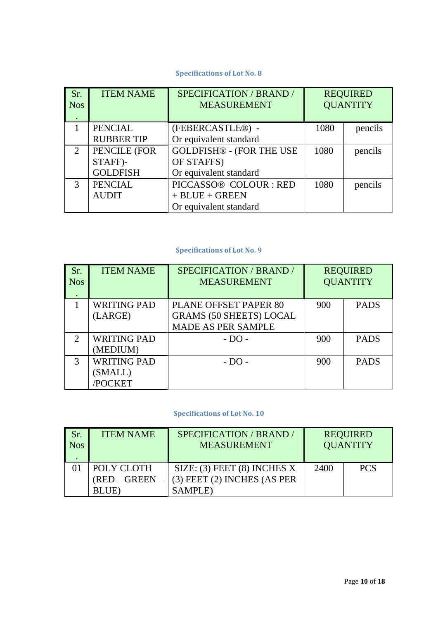#### **Specifications of Lot No. 8**

<span id="page-9-0"></span>

| Sr.<br><b>Nos</b>           | <b>ITEM NAME</b>  | SPECIFICATION / BRAND /<br><b>MEASUREMENT</b> |      | <b>REQUIRED</b><br><b>QUANTITY</b> |
|-----------------------------|-------------------|-----------------------------------------------|------|------------------------------------|
|                             | <b>PENCIAL</b>    | (FEBERCASTLE®) -                              | 1080 | pencils                            |
|                             | <b>RUBBER TIP</b> | Or equivalent standard                        |      |                                    |
| $\mathcal{D}_{\mathcal{L}}$ | PENCILE (FOR      | <b>GOLDFISH® - (FOR THE USE</b>               | 1080 | pencils                            |
|                             | STAFF)-           | OF STAFFS)                                    |      |                                    |
|                             | <b>GOLDFISH</b>   | Or equivalent standard                        |      |                                    |
| 3                           | <b>PENCIAL</b>    | PICCASSO® COLOUR : RED                        | 1080 | pencils                            |
|                             | <b>AUDIT</b>      | $+$ BLUE $+$ GREEN                            |      |                                    |
|                             |                   | Or equivalent standard                        |      |                                    |

#### **Specifications of Lot No. 9**

<span id="page-9-1"></span>

| Sr.<br><b>Nos</b>           | <b>ITEM NAME</b>   | SPECIFICATION / BRAND /<br><b>MEASUREMENT</b> |     | <b>REQUIRED</b><br><b>QUANTITY</b> |
|-----------------------------|--------------------|-----------------------------------------------|-----|------------------------------------|
|                             | <b>WRITING PAD</b> | PLANE OFFSET PAPER 80                         | 900 | <b>PADS</b>                        |
|                             | (LARGE)            | <b>GRAMS (50 SHEETS) LOCAL</b>                |     |                                    |
|                             |                    | <b>MADE AS PER SAMPLE</b>                     |     |                                    |
| $\mathcal{D}_{\mathcal{L}}$ | <b>WRITING PAD</b> | $- DO$ -                                      | 900 | <b>PADS</b>                        |
|                             | (MEDIUM)           |                                               |     |                                    |
| 3                           | <b>WRITING PAD</b> | $- DO -$                                      | 900 | <b>PADS</b>                        |
|                             | (SMALL)            |                                               |     |                                    |
|                             | <b>POCKET</b>      |                                               |     |                                    |

<span id="page-9-2"></span>

| Sr.<br><b>Nos</b> | <b>ITEM NAME</b> | SPECIFICATION / BRAND /<br><b>MEASUREMENT</b> |      | <b>REQUIRED</b><br><b>OUANTITY</b> |
|-------------------|------------------|-----------------------------------------------|------|------------------------------------|
|                   | POLY CLOTH       | SIZE: $(3)$ FEET $(8)$ INCHES X               | 2400 | <b>PCS</b>                         |
|                   | $(RED - GREEN -$ | $(3)$ FEET $(2)$ INCHES $(AS PER)$            |      |                                    |
|                   | BLUE)            | <b>SAMPLE</b> )                               |      |                                    |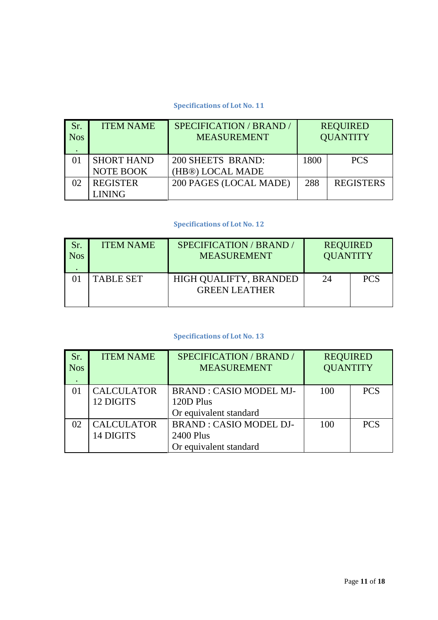#### **Specifications of Lot No. 11**

<span id="page-10-0"></span>

| Sr.<br><b>Nos</b> | <b>ITEM NAME</b>  | <b>SPECIFICATION / BRAND /</b><br><b>MEASUREMENT</b> |      | <b>REQUIRED</b><br><b>QUANTITY</b> |
|-------------------|-------------------|------------------------------------------------------|------|------------------------------------|
|                   | <b>SHORT HAND</b> | 200 SHEETS BRAND:                                    | 1800 | <b>PCS</b>                         |
|                   | <b>NOTE BOOK</b>  | (HB®) LOCAL MADE                                     |      |                                    |
|                   | <b>REGISTER</b>   | 200 PAGES (LOCAL MADE)                               | 288  | <b>REGISTERS</b>                   |
|                   | LINING            |                                                      |      |                                    |

#### **Specifications of Lot No. 12**

<span id="page-10-1"></span>

| Sr.<br><b>Nos</b> | <b>ITEM NAME</b> | SPECIFICATION / BRAND /<br><b>MEASUREMENT</b>  | <b>REQUIRED</b><br><b>QUANTITY</b> |            |
|-------------------|------------------|------------------------------------------------|------------------------------------|------------|
|                   | <b>TABLE SET</b> | HIGH QUALIFTY, BRANDED<br><b>GREEN LEATHER</b> | 24                                 | <b>PCS</b> |

<span id="page-10-2"></span>

| Sr.<br><b>Nos</b> | <b>ITEM NAME</b>               | SPECIFICATION / BRAND /<br><b>MEASUREMENT</b> | <b>REQUIRED</b><br><b>QUANTITY</b> |            |
|-------------------|--------------------------------|-----------------------------------------------|------------------------------------|------------|
|                   | <b>CALCULATOR</b><br>12 DIGITS | <b>BRAND: CASIO MODEL MJ-</b><br>120D Plus    | 100                                | <b>PCS</b> |
|                   |                                | Or equivalent standard                        |                                    |            |
| 02                | <b>CALCULATOR</b><br>14 DIGITS | <b>BRAND: CASIO MODEL DJ-</b><br>2400 Plus    | 100                                | <b>PCS</b> |
|                   |                                | Or equivalent standard                        |                                    |            |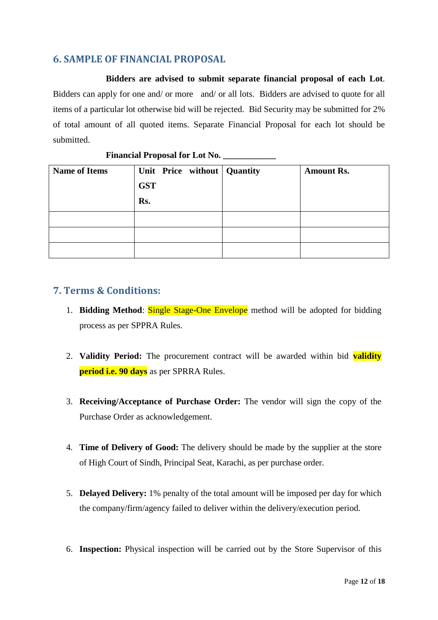## <span id="page-11-0"></span>**6. SAMPLE OF FINANCIAL PROPOSAL**

**Bidders are advised to submit separate financial proposal of each Lot**. Bidders can apply for one and/ or more and/ or all lots. Bidders are advised to quote for all items of a particular lot otherwise bid will be rejected. Bid Security may be submitted for 2% of total amount of all quoted items. Separate Financial Proposal for each lot should be submitted.

| <b>Name of Items</b> | <b>GST</b><br>Rs. | Unit Price without Quantity | <b>Amount Rs.</b> |
|----------------------|-------------------|-----------------------------|-------------------|
|                      |                   |                             |                   |
|                      |                   |                             |                   |
|                      |                   |                             |                   |

#### **Financial Proposal for Lot No. \_\_\_\_\_\_\_\_\_\_\_\_**

### <span id="page-11-1"></span>**7. Terms & Conditions:**

- 1. **Bidding Method**: Single Stage-One Envelope method will be adopted for bidding process as per SPPRA Rules.
- 2. **Validity Period:** The procurement contract will be awarded within bid **validity period i.e. 90 days** as per SPRRA Rules.
- 3. **Receiving/Acceptance of Purchase Order:** The vendor will sign the copy of the Purchase Order as acknowledgement.
- 4. **Time of Delivery of Good:** The delivery should be made by the supplier at the store of High Court of Sindh, Principal Seat, Karachi, as per purchase order.
- 5. **Delayed Delivery:** 1% penalty of the total amount will be imposed per day for which the company/firm/agency failed to deliver within the delivery/execution period.
- 6. **Inspection:** Physical inspection will be carried out by the Store Supervisor of this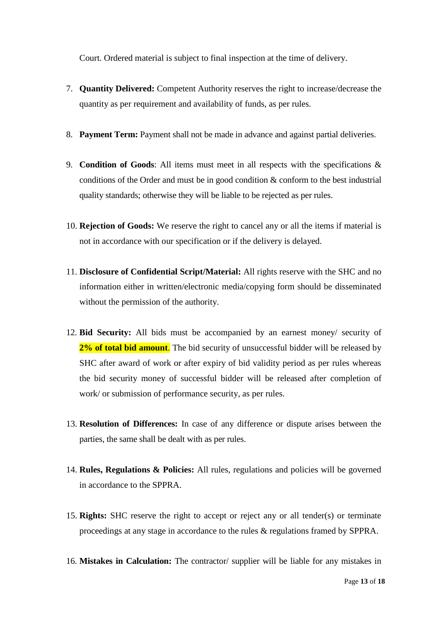Court. Ordered material is subject to final inspection at the time of delivery.

- 7. **Quantity Delivered:** Competent Authority reserves the right to increase/decrease the quantity as per requirement and availability of funds, as per rules.
- 8. **Payment Term:** Payment shall not be made in advance and against partial deliveries.
- 9. **Condition of Goods**: All items must meet in all respects with the specifications & conditions of the Order and must be in good condition & conform to the best industrial quality standards; otherwise they will be liable to be rejected as per rules.
- 10. **Rejection of Goods:** We reserve the right to cancel any or all the items if material is not in accordance with our specification or if the delivery is delayed.
- 11. **Disclosure of Confidential Script/Material:** All rights reserve with the SHC and no information either in written/electronic media/copying form should be disseminated without the permission of the authority.
- 12. **Bid Security:** All bids must be accompanied by an earnest money/ security of **2% of total bid amount**. The bid security of unsuccessful bidder will be released by SHC after award of work or after expiry of bid validity period as per rules whereas the bid security money of successful bidder will be released after completion of work/ or submission of performance security, as per rules.
- 13. **Resolution of Differences:** In case of any difference or dispute arises between the parties, the same shall be dealt with as per rules.
- 14. **Rules, Regulations & Policies:** All rules, regulations and policies will be governed in accordance to the SPPRA.
- 15. **Rights:** SHC reserve the right to accept or reject any or all tender(s) or terminate proceedings at any stage in accordance to the rules & regulations framed by SPPRA.
- 16. **Mistakes in Calculation:** The contractor/ supplier will be liable for any mistakes in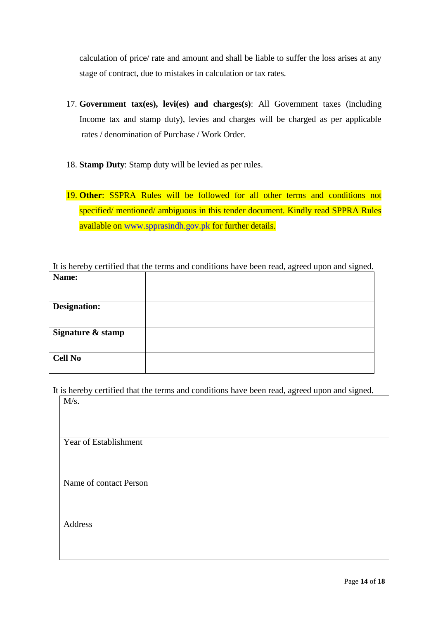calculation of price/ rate and amount and shall be liable to suffer the loss arises at any stage of contract, due to mistakes in calculation or tax rates.

- 17. **Government tax(es), levi(es) and charges(s)**: All Government taxes (including Income tax and stamp duty), levies and charges will be charged as per applicable rates / denomination of Purchase / Work Order.
- 18. **Stamp Duty**: Stamp duty will be levied as per rules.
- 19. **Other**: SSPRA Rules will be followed for all other terms and conditions not specified/ mentioned/ ambiguous in this tender document. Kindly read SPPRA Rules available on [www.spprasindh.gov.pk](http://www.spprasindh.gov.pk/) for further details.

It is hereby certified that the terms and conditions have been read, agreed upon and signed. **Name:**

| Name:               |  |
|---------------------|--|
|                     |  |
| <b>Designation:</b> |  |
|                     |  |
| Signature & stamp   |  |
| <b>Cell No</b>      |  |

It is hereby certified that the terms and conditions have been read, agreed upon and signed.

| M/s.                   |  |
|------------------------|--|
|                        |  |
| Year of Establishment  |  |
|                        |  |
| Name of contact Person |  |
|                        |  |
| Address                |  |
|                        |  |
|                        |  |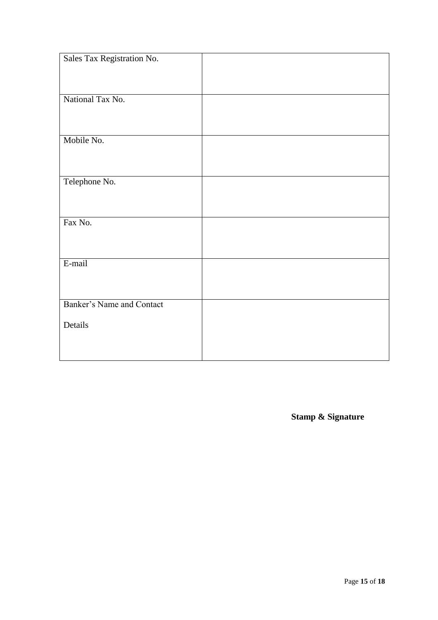| Sales Tax Registration No. |  |
|----------------------------|--|
|                            |  |
|                            |  |
| National Tax No.           |  |
|                            |  |
|                            |  |
| Mobile No.                 |  |
|                            |  |
|                            |  |
| Telephone No.              |  |
|                            |  |
|                            |  |
| Fax No.                    |  |
|                            |  |
|                            |  |
| E-mail                     |  |
|                            |  |
|                            |  |
| Banker's Name and Contact  |  |
| Details                    |  |
|                            |  |
|                            |  |
|                            |  |

**Stamp & Signature**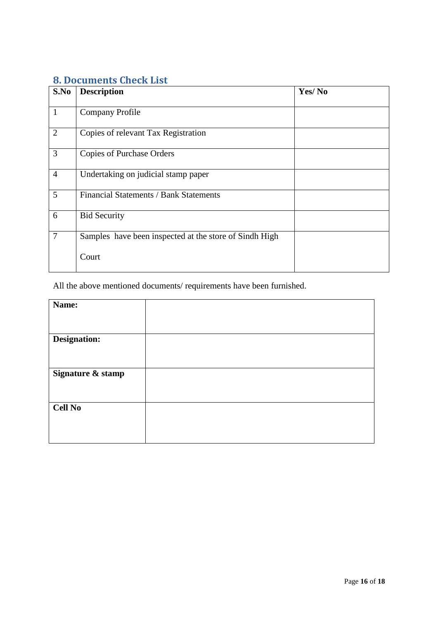## <span id="page-15-0"></span>**8. Documents Check List**

| S.No           | <b>Description</b>                                     | Yes/No |
|----------------|--------------------------------------------------------|--------|
| $\mathbf{1}$   | <b>Company Profile</b>                                 |        |
| 2              | Copies of relevant Tax Registration                    |        |
| $\overline{3}$ | <b>Copies of Purchase Orders</b>                       |        |
| $\overline{4}$ | Undertaking on judicial stamp paper                    |        |
| 5              | Financial Statements / Bank Statements                 |        |
| 6              | <b>Bid Security</b>                                    |        |
| $\overline{7}$ | Samples have been inspected at the store of Sindh High |        |
|                | Court                                                  |        |

All the above mentioned documents/ requirements have been furnished.

| Name:             |  |
|-------------------|--|
|                   |  |
|                   |  |
| Designation:      |  |
|                   |  |
|                   |  |
| Signature & stamp |  |
|                   |  |
|                   |  |
|                   |  |
| <b>Cell No</b>    |  |
|                   |  |
|                   |  |
|                   |  |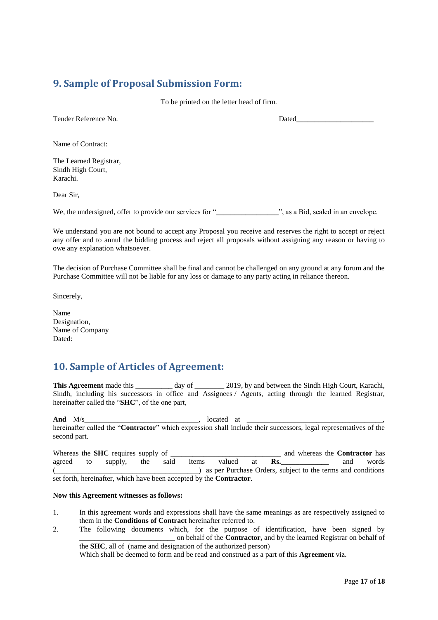### <span id="page-16-0"></span>**9. Sample of Proposal Submission Form:**

To be printed on the letter head of firm.

Tender Reference No. 2008 and the Dated

Name of Contract:

The Learned Registrar, Sindh High Court, Karachi.

Dear Sir,

We, the undersigned, offer to provide our services for "\_\_\_\_\_\_\_\_\_\_\_\_\_\_\_\_\_", as a Bid, sealed in an envelope.

We understand you are not bound to accept any Proposal you receive and reserves the right to accept or reject any offer and to annul the bidding process and reject all proposals without assigning any reason or having to owe any explanation whatsoever.

The decision of Purchase Committee shall be final and cannot be challenged on any ground at any forum and the Purchase Committee will not be liable for any loss or damage to any party acting in reliance thereon.

Sincerely,

Name Designation, Name of Company Dated:

### <span id="page-16-1"></span>**10. Sample of Articles of Agreement:**

**This Agreement** made this day of 2019, by and between the Sindh High Court, Karachi, Sindh, including his successors in office and Assignees / Agents, acting through the learned Registrar, hereinafter called the "**SHC**", of the one part,

**And** M/s 100 at  $\frac{M}{s}$  100 at  $\frac{M}{s}$  100 at  $\frac{M}{s}$ hereinafter called the "**Contractor**" which expression shall include their successors, legal representatives of the second part.

Whereas the **SHC** requires supply of **\_\_\_\_\_\_\_\_\_\_\_\_\_\_\_\_\_\_\_\_\_\_\_\_\_\_\_\_\_\_\_\_** and whereas the **Contractor** has agreed to supply, the said items valued at **Rs.\_\_\_\_\_\_\_\_\_\_\_\_\_** and words (\_\_\_\_\_\_\_\_\_\_\_\_\_\_\_\_\_\_\_\_\_\_\_\_\_\_\_\_\_\_\_\_\_\_\_\_\_\_\_) as per Purchase Orders, subject to the terms and conditions set forth, hereinafter, which have been accepted by the **Contractor**.

#### **Now this Agreement witnesses as follows:**

- 1. In this agreement words and expressions shall have the same meanings as are respectively assigned to them in the **Conditions of Contract** hereinafter referred to.
- 2. The following documents which, for the purpose of identification, have been signed by \_\_\_\_\_\_\_\_\_\_\_\_\_\_\_\_\_\_\_\_\_\_\_\_\_\_ on behalf of the **Contractor,** and by the learned Registrar on behalf of the **SHC**, all of (name and designation of the authorized person)

Which shall be deemed to form and be read and construed as a part of this **Agreement** viz.